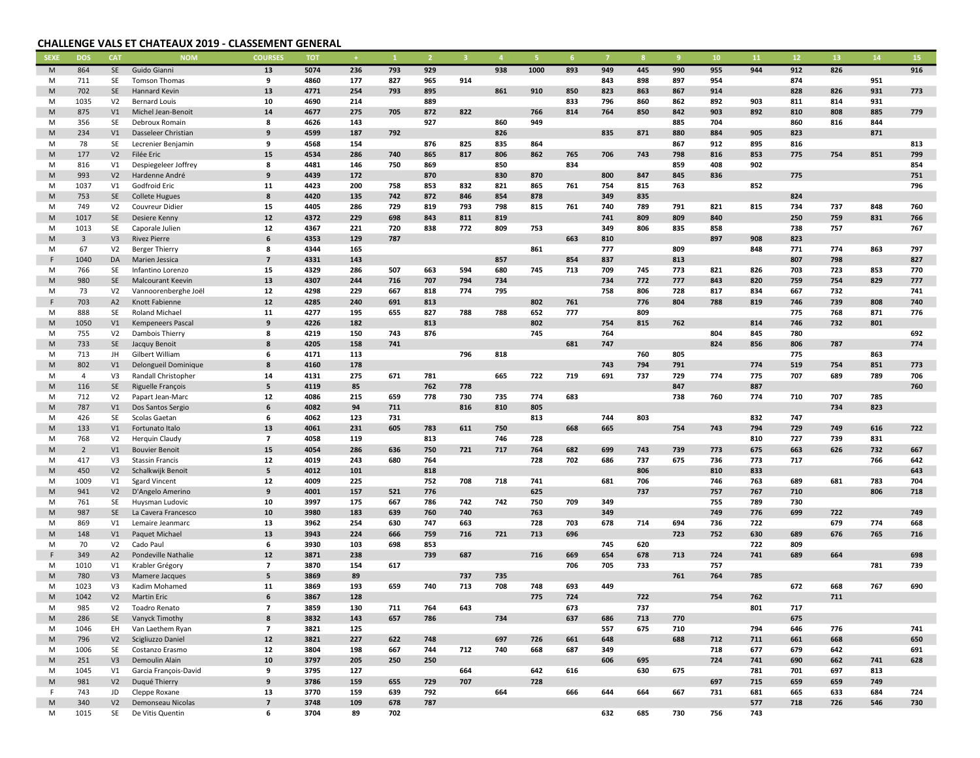## CHALLENGE VALS ET CHATEAUX 2019 - CLASSEMENT GENERAL

| <b>SEXE</b> | <b>DOS</b>     | <b>CAT</b>     | <b>NOM</b>               | <b>COURSES</b>          | <b>TOT</b> |     |     |     |     |     |      |     |     |     | -9  | 10  | 11  | 12  | 13  | 14  | 15         |
|-------------|----------------|----------------|--------------------------|-------------------------|------------|-----|-----|-----|-----|-----|------|-----|-----|-----|-----|-----|-----|-----|-----|-----|------------|
| M           | 864            | SE             | Guido Gianni             | 13                      | 5074       | 236 | 793 | 929 |     | 938 | 1000 | 893 | 949 | 445 | 990 | 955 | 944 | 912 | 826 |     | 916        |
| M           | 711            | SE             | Tomson Thomas            | 9                       | 4860       | 177 | 827 | 965 | 914 |     |      |     | 843 | 898 | 897 | 954 |     | 874 |     | 951 |            |
| M           | 702            | SE             | Hannard Kevin            | 13                      | 4771       | 254 | 793 | 895 |     | 861 | 910  | 850 | 823 | 863 | 867 | 914 |     | 828 | 826 | 931 | 773        |
| M           | 1035           | V <sub>2</sub> | <b>Bernard Louis</b>     | 10                      | 4690       | 214 |     | 889 |     |     |      | 833 | 796 | 860 | 862 | 892 | 903 | 811 | 814 | 931 |            |
| M           | 875            | V1             | Michel Jean-Benoit       | 14                      | 4677       | 275 | 705 | 872 | 822 |     | 766  | 814 | 764 | 850 | 842 | 903 | 892 | 810 | 808 | 885 | 779        |
| M           | 356            | SE             | Debroux Romain           | 8                       | 4626       | 143 |     | 927 |     | 860 | 949  |     |     |     | 885 | 704 |     | 860 | 816 | 844 |            |
| ${\sf M}$   | 234            | V1             | Dasseleer Christian      | 9                       | 4599       | 187 | 792 |     |     | 826 |      |     | 835 | 871 | 880 | 884 | 905 | 823 |     | 871 |            |
| M           | 78             | SE             | Lecrenier Benjamin       | 9                       | 4568       | 154 |     | 876 | 825 | 835 | 864  |     |     |     | 867 | 912 | 895 | 816 |     |     | 813        |
| M           | 177            | V <sub>2</sub> | Filée Eric               | 15                      | 4534       | 286 | 740 | 865 | 817 | 806 | 862  | 765 | 706 | 743 | 798 | 816 | 853 | 775 | 754 | 851 | 799        |
| M           | 816            | V1             | Despiegeleer Joffrey     | 8                       | 4481       | 146 | 750 | 869 |     | 850 |      | 834 |     |     | 859 | 408 | 902 |     |     |     | 854        |
|             |                |                | Hardenne André           | 9                       | 4439       | 172 |     | 870 |     | 830 |      |     |     | 847 | 845 | 836 |     | 775 |     |     |            |
| M           | 993            | V <sub>2</sub> |                          |                         |            |     |     |     |     |     | 870  |     | 800 | 815 |     |     |     |     |     |     | 751<br>796 |
| M           | 1037           | V1             | Godfroid Eric            | 11                      | 4423       | 200 | 758 | 853 | 832 | 821 | 865  | 761 | 754 |     | 763 |     | 852 |     |     |     |            |
| ${\sf M}$   | 753            | SE             | <b>Collete Hugues</b>    | 8                       | 4420       | 135 | 742 | 872 | 846 | 854 | 878  |     | 349 | 835 |     |     |     | 824 |     |     |            |
| M           | 749            | V <sub>2</sub> | Couvreur Didier          | 15                      | 4405       | 286 | 729 | 819 | 793 | 798 | 815  | 761 | 740 | 789 | 791 | 821 | 815 | 734 | 737 | 848 | 760        |
| M           | 1017           | SE             | Desiere Kenny            | 12                      | 4372       | 229 | 698 | 843 | 811 | 819 |      |     | 741 | 809 | 809 | 840 |     | 250 | 759 | 831 | 766        |
| M           | 1013           | SE             | Caporale Julien          | 12                      | 4367       | 221 | 720 | 838 | 772 | 809 | 753  |     | 349 | 806 | 835 | 858 |     | 738 | 757 |     | 767        |
| ${\sf M}$   | $\overline{3}$ | V3             | <b>Rivez Pierre</b>      | 6                       | 4353       | 129 | 787 |     |     |     |      | 663 | 810 |     |     | 897 | 908 | 823 |     |     |            |
| M           | 67             | V <sub>2</sub> | <b>Berger Thierry</b>    | 8                       | 4344       | 165 |     |     |     |     | 861  |     | 777 |     | 809 |     | 848 | 771 | 774 | 863 | 797        |
| F           | 1040           | DA             | Marien Jessica           | $\overline{\mathbf{z}}$ | 4331       | 143 |     |     |     | 857 |      | 854 | 837 |     | 813 |     |     | 807 | 798 |     | 827        |
| M           | 766            | SE             | Infantino Lorenzo        | 15                      | 4329       | 286 | 507 | 663 | 594 | 680 | 745  | 713 | 709 | 745 | 773 | 821 | 826 | 703 | 723 | 853 | 770        |
| M           | 980            | SE             | <b>Malcourant Keevin</b> | 13                      | 4307       | 244 | 716 | 707 | 794 | 734 |      |     | 734 | 772 | 777 | 843 | 820 | 759 | 754 | 829 | 777        |
| M           | 73             | V <sub>2</sub> | Vannoorenberghe Joël     | 12                      | 4298       | 229 | 667 | 818 | 774 | 795 |      |     | 758 | 806 | 728 | 817 | 834 | 667 | 732 |     | 741        |
| E           | 703            | A2             | Knott Fabienne           | 12                      | 4285       | 240 | 691 | 813 |     |     | 802  | 761 |     | 776 | 804 | 788 | 819 | 746 | 739 | 808 | 740        |
| M           | 888            | SE             | Roland Michael           | 11                      | 4277       | 195 | 655 | 827 | 788 | 788 | 652  | 777 |     | 809 |     |     |     | 775 | 768 | 871 | 776        |
| ${\sf M}$   | 1050           | V1             | <b>Kempeneers Pascal</b> | 9                       | 4226       | 182 |     | 813 |     |     | 802  |     | 754 | 815 | 762 |     | 814 | 746 | 732 | 801 |            |
| M           | 755            | V <sub>2</sub> | Dambois Thierry          | 8                       | 4219       | 150 | 743 | 876 |     |     | 745  |     | 764 |     |     | 804 | 845 | 780 |     |     | 692        |
| M           | 733            | SE             | Jacquy Benoit            | 8                       | 4205       | 158 | 741 |     |     |     |      | 681 | 747 |     |     | 824 | 856 | 806 | 787 |     | 774        |
| M           | 713            | JH             | Gilbert William          | 6                       | 4171       | 113 |     |     | 796 | 818 |      |     |     | 760 | 805 |     |     | 775 |     | 863 |            |
| ${\sf M}$   | 802            | V1             | Delongueil Dominique     | 8                       | 4160       | 178 |     |     |     |     |      |     | 743 | 794 | 791 |     | 774 | 519 | 754 | 851 | 773        |
| M           | $\overline{4}$ | V3             | Randall Christopher      | 14                      | 4131       | 275 | 671 | 781 |     | 665 | 722  | 719 | 691 | 737 | 729 | 774 | 775 | 707 | 689 | 789 | 706        |
| M           | 116            | SE             | Riguelle François        | 5                       | 4119       | 85  |     | 762 | 778 |     |      |     |     |     | 847 |     | 887 |     |     |     | 760        |
| M           | 712            | V <sub>2</sub> | Papart Jean-Marc         | 12                      | 4086       | 215 | 659 | 778 | 730 | 735 | 774  | 683 |     |     | 738 | 760 | 774 | 710 | 707 | 785 |            |
| ${\sf M}$   | 787            | V1             |                          | 6                       | 4082       | 94  | 711 |     | 816 | 810 | 805  |     |     |     |     |     |     |     | 734 | 823 |            |
|             |                |                | Dos Santos Sergio        |                         | 4062       |     |     |     |     |     |      |     |     | 803 |     |     |     |     |     |     |            |
| M           | 426            | SE             | Scolas Gaetan            | 6                       |            | 123 | 731 |     |     |     | 813  |     | 744 |     |     |     | 832 | 747 |     |     |            |
| M           | 133            | V1             | Fortunato Italo          | 13                      | 4061       | 231 | 605 | 783 | 611 | 750 |      | 668 | 665 |     | 754 | 743 | 794 | 729 | 749 | 616 | 722        |
| M           | 768            | V <sub>2</sub> | Herquin Claudy           | $\overline{7}$          | 4058       | 119 |     | 813 |     | 746 | 728  |     |     |     |     |     | 810 | 727 | 739 | 831 |            |
| M           | $\overline{2}$ | V1             | <b>Bouvier Benoit</b>    | 15                      | 4054       | 286 | 636 | 750 | 721 | 717 | 764  | 682 | 699 | 743 | 739 | 773 | 675 | 663 | 626 | 732 | 667        |
| M           | 417            | V3             | <b>Stassin Francis</b>   | 12                      | 4019       | 243 | 680 | 764 |     |     | 728  | 702 | 686 | 737 | 675 | 736 | 773 | 717 |     | 766 | 642        |
| ${\sf M}$   | 450            | V <sub>2</sub> | Schalkwijk Benoit        | 5                       | 4012       | 101 |     | 818 |     |     |      |     |     | 806 |     | 810 | 833 |     |     |     | 643        |
| M           | 1009           | V1             | <b>Sgard Vincent</b>     | 12                      | 4009       | 225 |     | 752 | 708 | 718 | 741  |     | 681 | 706 |     | 746 | 763 | 689 | 681 | 783 | 704        |
| M           | 941            | V <sub>2</sub> | D'Angelo Amerino         | 9                       | 4001       | 157 | 521 | 776 |     |     | 625  |     |     | 737 |     | 757 | 767 | 710 |     | 806 | 718        |
| M           | 761            | SE             | Huysman Ludovic          | 10                      | 3997       | 175 | 667 | 786 | 742 | 742 | 750  | 709 | 349 |     |     | 755 | 789 | 730 |     |     |            |
| M           | 987            | SE             | La Cavera Francesco      | 10                      | 3980       | 183 | 639 | 760 | 740 |     | 763  |     | 349 |     |     | 749 | 776 | 699 | 722 |     | 749        |
| M           | 869            | V1             | Lemaire Jeanmarc         | 13                      | 3962       | 254 | 630 | 747 | 663 |     | 728  | 703 | 678 | 714 | 694 | 736 | 722 |     | 679 | 774 | 668        |
| ${\sf M}$   | 148            | V1             | Paquet Michael           | 13                      | 3943       | 224 | 666 | 759 | 716 | 721 | 713  | 696 |     |     | 723 | 752 | 630 | 689 | 676 | 765 | 716        |
| M           | 70             | V <sub>2</sub> | Cado Paul                | 6                       | 3930       | 103 | 698 | 853 |     |     |      |     | 745 | 620 |     |     | 722 | 809 |     |     |            |
| F           | 349            | A2             | Pondeville Nathalie      | 12                      | 3871       | 238 |     | 739 | 687 |     | 716  | 669 | 654 | 678 | 713 | 724 | 741 | 689 | 664 |     | 698        |
| M           | 1010           | V1             | Krabler Grégory          | $\overline{7}$          | 3870       | 154 | 617 |     |     |     |      | 706 | 705 | 733 |     | 757 |     |     |     | 781 | 739        |
| M           | 780            | V3             | Mamere Jacques           | 5                       | 3869       | 89  |     |     | 737 | 735 |      |     |     |     | 761 | 764 | 785 |     |     |     |            |
| M           | 1023           | V3             | Kadim Mohamed            | 11                      | 3869       | 193 | 659 | 740 | 713 | 708 | 748  | 693 | 449 |     |     |     |     | 672 | 668 | 767 | 690        |
| ${\sf M}$   | 1042           | V <sub>2</sub> | <b>Martin Eric</b>       | 6                       | 3867       | 128 |     |     |     |     | 775  | 724 |     | 722 |     | 754 | 762 |     | 711 |     |            |
| M           | 985            |                | V2 Toadro Renato         | $\overline{ }$          | 3859       | 130 | 711 | 764 | 643 |     |      | 673 |     | 737 |     |     | 801 | 717 |     |     |            |
| M           | 286            | SE             | Vanyck Timothy           | 8                       | 3832       | 143 | 657 | 786 |     | 734 |      | 637 | 686 | 713 | 770 |     |     | 675 |     |     |            |
| M           | 1046           | EH             | Van Laethem Ryan         | $\overline{7}$          | 3821       | 125 |     |     |     |     |      |     | 557 | 675 | 710 |     | 794 | 646 | 776 |     | 741        |
| M           | 796            | V <sub>2</sub> | Scigliuzzo Daniel        | $12$                    | 3821       | 227 | 622 | 748 |     | 697 | 726  | 661 | 648 |     | 688 | 712 | 711 | 661 | 668 |     | 650        |
| M           | 1006           | <b>SE</b>      | Costanzo Erasmo          | 12                      | 3804       | 198 | 667 | 744 | 712 | 740 | 668  | 687 | 349 |     |     | 718 | 677 | 679 | 642 |     | 691        |
| M           | 251            | V3             | Demoulin Alain           | 10                      | 3797       | 205 | 250 | 250 |     |     |      |     | 606 | 695 |     | 724 | 741 | 690 | 662 | 741 | 628        |
| M           | 1045           | V1             | Garcia François-David    | 9                       | 3795       | 127 |     |     | 664 |     | 642  | 616 |     | 630 | 675 |     | 781 | 701 | 697 | 813 |            |
| M           | 981            | V <sub>2</sub> | Duqué Thierry            | 9                       | 3786       | 159 | 655 | 729 | 707 |     | 728  |     |     |     |     | 697 | 715 | 659 | 659 | 749 |            |
| F.          | 743            | JD             | Cleppe Roxane            | 13                      | 3770       | 159 | 639 | 792 |     | 664 |      | 666 | 644 | 664 | 667 | 731 | 681 | 665 | 633 | 684 | 724        |
|             | 340            | V <sub>2</sub> | Demonseau Nicolas        | $\overline{7}$          | 3748       | 109 | 678 | 787 |     |     |      |     |     |     |     |     | 577 | 718 | 726 | 546 | 730        |
| M           |                |                |                          |                         | 3704       | 89  |     |     |     |     |      |     | 632 |     |     | 756 | 743 |     |     |     |            |
| M           | 1015           | SE             | De Vitis Quentin         | 6                       |            |     | 702 |     |     |     |      |     |     | 685 | 730 |     |     |     |     |     |            |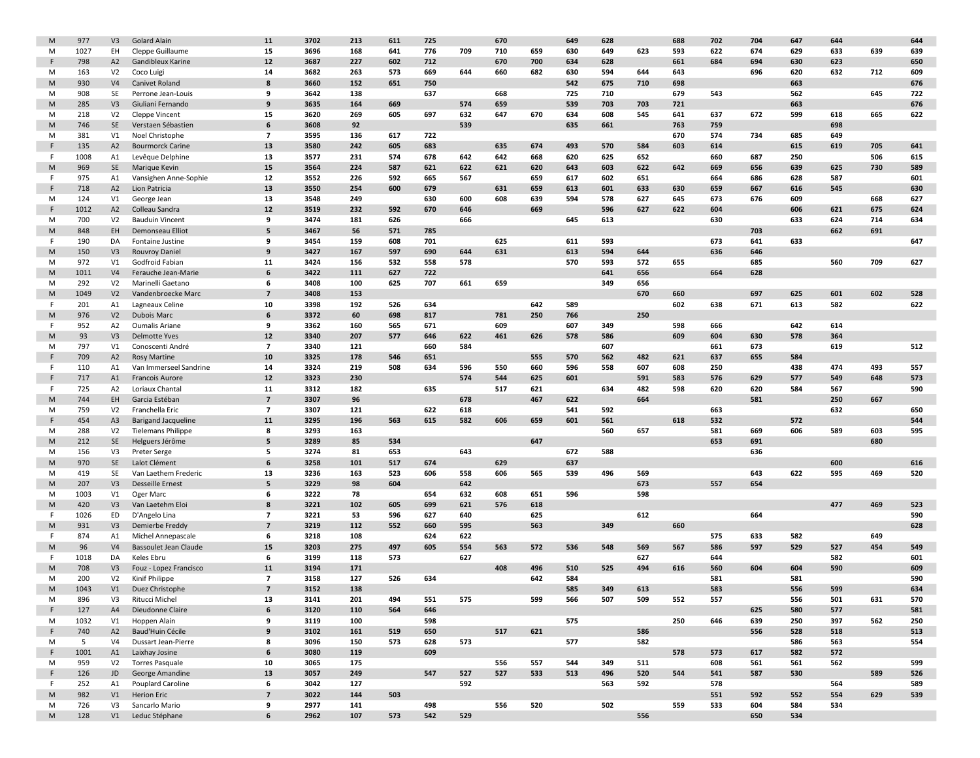| M         | 977  | V3                   | <b>Golard Alain</b>        | 11             | 3702 | 213 | 611 | 725        |     | 670 |     | 649 | 628 |     | 688 | 702 | 704        | 647 | 644 |     | 644 |
|-----------|------|----------------------|----------------------------|----------------|------|-----|-----|------------|-----|-----|-----|-----|-----|-----|-----|-----|------------|-----|-----|-----|-----|
| M         | 1027 | EH                   | Cleppe Guillaume           | 15             | 3696 | 168 | 641 | 776        | 709 | 710 | 659 | 630 | 649 | 623 | 593 | 622 | 674        | 629 | 633 | 639 | 639 |
| F         | 798  | A2                   | Gandibleux Karine          | 12             | 3687 | 227 | 602 | 712        |     | 670 | 700 | 634 | 628 |     | 661 | 684 | 694        | 630 | 623 |     | 650 |
| M         | 163  | V <sub>2</sub>       | Coco Luigi                 | 14             | 3682 | 263 | 573 | 669        | 644 | 660 | 682 | 630 | 594 | 644 | 643 |     | 696        | 620 | 632 | 712 | 609 |
| M         | 930  | V <sub>4</sub>       | Canivet Roland             | 8              | 3660 | 152 | 651 | 750        |     |     |     | 542 | 675 | 710 | 698 |     |            | 663 |     |     | 676 |
| M         | 908  | SE                   | Perrone Jean-Louis         | 9              | 3642 | 138 |     | 637        |     | 668 |     | 725 | 710 |     | 679 | 543 |            | 562 |     | 645 | 722 |
| M         | 285  | V3                   | Giuliani Fernando          | 9              | 3635 | 164 | 669 |            | 574 | 659 |     | 539 | 703 | 703 | 721 |     |            | 663 |     |     | 676 |
| M         | 218  | V <sub>2</sub>       | <b>Cleppe Vincent</b>      | 15             | 3620 | 269 | 605 | 697        | 632 | 647 | 670 | 634 | 608 | 545 | 641 | 637 | 672        | 599 | 618 | 665 | 622 |
| ${\sf M}$ | 746  | SE                   | Verstaen Sébastien         | 6              | 3608 | 92  |     |            | 539 |     |     | 635 | 661 |     | 763 | 759 |            |     | 698 |     |     |
| M         | 381  | V1                   | Noel Christophe            | $\overline{7}$ | 3595 | 136 | 617 | 722        |     |     |     |     |     |     | 670 | 574 | 734        | 685 | 649 |     |     |
| F         | 135  | A2                   | <b>Bourmorck Carine</b>    | 13             | 3580 | 242 | 605 | 683        |     | 635 | 674 | 493 | 570 | 584 | 603 | 614 |            | 615 | 619 | 705 | 641 |
| F         | 1008 | A1                   | Levêque Delphine           | 13             | 3577 | 231 | 574 | 678        | 642 | 642 | 668 | 620 | 625 | 652 |     | 660 | 687        | 250 |     | 506 | 615 |
| M         | 969  | SE                   | Marique Kevin              | 15             | 3564 | 224 | 587 | 621        | 622 | 621 | 620 | 643 | 603 | 622 | 642 | 669 | 656        | 639 | 625 | 730 | 589 |
| F.        | 975  | A1                   | Vansighen Anne-Sophie      | 12             | 3552 | 226 | 592 | 665        | 567 |     | 659 | 617 | 602 | 651 |     | 664 | 686        | 628 | 587 |     | 601 |
| F         | 718  | A2                   | Lion Patricia              | 13             | 3550 | 254 | 600 | 679        |     | 631 | 659 | 613 | 601 | 633 | 630 | 659 | 667        | 616 | 545 |     | 630 |
| M         | 124  | V1                   | George Jean                | 13             | 3548 | 249 |     | 630        | 600 | 608 | 639 | 594 | 578 | 627 | 645 | 673 | 676        | 609 |     | 668 | 627 |
| F         | 1012 | A2                   | Colleau Sandra             | 12             | 3519 | 232 | 592 | 670        | 646 |     | 669 |     | 596 | 627 | 622 | 604 |            | 606 | 621 | 675 | 624 |
| M         | 700  | V <sub>2</sub>       | <b>Bauduin Vincent</b>     | 9              | 3474 | 181 | 626 |            | 666 |     |     | 645 | 613 |     |     | 630 |            | 633 | 624 | 714 | 634 |
| M         | 848  | EH                   | Demonseau Elliot           | 5              | 3467 | 56  | 571 | 785        |     |     |     |     |     |     |     |     | 703        |     | 662 | 691 |     |
| F.        | 190  | DA                   | Fontaine Justine           | 9              | 3454 | 159 | 608 | 701        |     | 625 |     | 611 | 593 |     |     | 673 | 641        | 633 |     |     | 647 |
| M         | 150  | V3                   | <b>Rouvroy Daniel</b>      | 9              | 3427 | 167 | 597 | 690        | 644 | 631 |     | 613 | 594 | 644 |     | 636 | 646        |     |     |     |     |
| M         | 972  | V1                   | Godfroid Fabian            | 11             | 3424 | 156 | 532 | 558        | 578 |     |     | 570 | 593 | 572 | 655 |     | 685        |     | 560 | 709 | 627 |
| ${\sf M}$ | 1011 | V <sub>4</sub>       | Ferauche Jean-Marie        | 6              | 3422 | 111 | 627 | 722        |     |     |     |     | 641 | 656 |     | 664 | 628        |     |     |     |     |
| M         | 292  | V <sub>2</sub>       | Marinelli Gaetano          | 6              | 3408 | 100 | 625 | 707        | 661 | 659 |     |     | 349 | 656 |     |     |            |     |     |     |     |
| ${\sf M}$ | 1049 | V <sub>2</sub>       | Vandenbroecke Marc         | $\overline{7}$ | 3408 | 153 |     |            |     |     |     |     |     | 670 | 660 |     | 697        | 625 | 601 | 602 | 528 |
| F.        | 201  |                      | Lagneaux Celine            | 10             | 3398 | 192 | 526 | 634        |     |     | 642 | 589 |     |     | 602 | 638 | 671        | 613 | 582 |     | 622 |
| M         | 976  | A1<br>V <sub>2</sub> | <b>Dubois Marc</b>         | 6              | 3372 | 60  | 698 | 817        |     | 781 | 250 | 766 |     | 250 |     |     |            |     |     |     |     |
| F.        | 952  | A <sub>2</sub>       | <b>Oumalis Ariane</b>      | 9              | 3362 | 160 | 565 | 671        |     | 609 |     | 607 | 349 |     | 598 | 666 |            | 642 | 614 |     |     |
| ${\sf M}$ |      |                      |                            | 12             | 3340 | 207 |     |            |     | 461 |     |     |     |     | 609 | 604 | 630        |     | 364 |     |     |
|           | 93   | V3                   | <b>Delmotte Yves</b>       | $\overline{7}$ | 3340 |     | 577 | 646        | 622 |     | 626 | 578 | 586 |     |     |     |            | 578 |     |     |     |
| M<br>F    | 797  | V1                   | Conoscenti André           | 10             | 3325 | 121 |     | 660<br>651 | 584 |     |     |     | 607 |     | 621 | 661 | 673<br>655 | 584 | 619 |     | 512 |
|           | 709  | A2                   | <b>Rosy Martine</b>        |                |      | 178 | 546 |            |     |     | 555 | 570 | 562 | 482 |     | 637 |            |     |     |     |     |
| F.<br>F   | 110  | A1                   | Van Immerseel Sandrine     | 14             | 3324 | 219 | 508 | 634        | 596 | 550 | 660 | 596 | 558 | 607 | 608 | 250 |            | 438 | 474 | 493 | 557 |
|           | 717  | A1                   | <b>Francois Aurore</b>     | 12             | 3323 | 230 |     |            | 574 | 544 | 625 | 601 |     | 591 | 583 | 576 | 629        | 577 | 549 | 648 | 573 |
| F         | 725  | A2                   | Loriaux Chantal            | 11             | 3312 | 182 |     | 635        |     | 517 | 621 |     | 634 | 482 | 598 | 620 | 620        | 584 | 567 |     | 590 |
| ${\sf M}$ | 744  | EH                   | Garcia Estéban             | $\overline{7}$ | 3307 | 96  |     |            | 678 |     | 467 | 622 |     | 664 |     |     | 581        |     | 250 | 667 |     |
| M         | 759  | V <sub>2</sub>       | Franchella Eric            | $\overline{7}$ | 3307 | 121 |     | 622        | 618 |     |     | 541 | 592 |     |     | 663 |            |     | 632 |     | 650 |
| F         | 454  | A <sub>3</sub>       | <b>Barigand Jacqueline</b> | 11             | 3295 | 196 | 563 | 615        | 582 | 606 | 659 | 601 | 561 |     | 618 | 532 |            | 572 |     |     | 544 |
| M         | 288  | V <sub>2</sub>       | <b>Tielemans Philippe</b>  | 8              | 3293 | 163 |     |            |     |     |     |     | 560 | 657 |     | 581 | 669        | 606 | 589 | 603 | 595 |
| M         | 212  | SE                   | Helguers Jérôme            | 5              | 3289 | 85  | 534 |            |     |     | 647 |     |     |     |     | 653 | 691        |     |     | 680 |     |
| M         | 156  | V3                   | Preter Serge               | 5              | 3274 | 81  | 653 |            | 643 |     |     | 672 | 588 |     |     |     | 636        |     |     |     |     |
| ${\sf M}$ | 970  | SE                   | Lalot Clément              | 6              | 3258 | 101 | 517 | 674        |     | 629 |     | 637 |     |     |     |     |            |     | 600 |     | 616 |
| M         | 419  | SE                   | Van Laethem Frederic       | 13             | 3236 | 163 | 523 | 606        | 558 | 606 | 565 | 539 | 496 | 569 |     |     | 643        | 622 | 595 | 469 | 520 |
| ${\sf M}$ | 207  | V3                   | <b>Desseille Ernest</b>    | 5              | 3229 | 98  | 604 |            | 642 |     |     |     |     | 673 |     | 557 | 654        |     |     |     |     |
| M         | 1003 | V1                   | Oger Marc                  | 6              | 3222 | 78  |     | 654        | 632 | 608 | 651 | 596 |     | 598 |     |     |            |     |     |     |     |
| M         | 420  | V3                   | Van Laetehm Eloi           | 8              | 3221 | 102 | 605 | 699        | 621 | 576 | 618 |     |     |     |     |     |            |     | 477 | 469 | 523 |
| F.        | 1026 | ED                   | D'Angelo Lina              | $\overline{7}$ | 3221 | 53  | 596 | 627        | 640 |     | 625 |     |     | 612 |     |     | 664        |     |     |     | 590 |
| ${\sf M}$ | 931  | V3                   | Demierbe Freddy            | $\overline{7}$ | 3219 | 112 | 552 | 660        | 595 |     | 563 |     | 349 |     | 660 |     |            |     |     |     | 628 |
| F.        | 874  | A1                   | Michel Annepascale         | 6              | 3218 | 108 |     | 624        | 622 |     |     |     |     |     |     | 575 | 633        | 582 |     | 649 |     |
| M         | 96   | V <sub>4</sub>       | Bassoulet Jean Claude      | 15             | 3203 | 275 | 497 | 605        | 554 | 563 | 572 | 536 | 548 | 569 | 567 | 586 | 597        | 529 | 527 | 454 | 549 |
| F         | 1018 | DA                   | Keles Ebru                 | 6              | 3199 | 118 | 573 |            | 627 |     |     |     |     | 627 |     | 644 |            |     | 582 |     | 601 |
| M         | 708  | V3                   | Fouz - Lopez Francisco     | 11             | 3194 | 171 |     |            |     | 408 | 496 | 510 | 525 | 494 | 616 | 560 | 604        | 604 | 590 |     | 609 |
| M         | 200  | V <sub>2</sub>       | Kinif Philippe             | $\overline{7}$ | 3158 | 127 | 526 | 634        |     |     | 642 | 584 |     |     |     | 581 |            | 581 |     |     | 590 |
| M         | 1043 | V1                   | Duez Christophe            | $\overline{7}$ | 3152 | 138 |     |            |     |     |     | 585 | 349 | 613 |     | 583 |            | 556 | 599 |     | 634 |
| M         | 896  | V3                   | Ritucci Michel             | 13             | 3141 | 201 | 494 | 551        | 575 |     | 599 | 566 | 507 | 509 | 552 | 557 |            | 556 | 501 | 631 | 570 |
| F         | 127  | A4                   | Dieudonne Claire           | 6              | 3120 | 110 | 564 | 646        |     |     |     |     |     |     |     |     | 625        | 580 | 577 |     | 581 |
| M         | 1032 | V1                   | Hoppen Alain               | 9              | 3119 | 100 |     | 598        |     |     |     | 575 |     |     | 250 | 646 | 639        | 250 | 397 | 562 | 250 |
| F         | 740  | A2                   | Baud'Huin Cécile           | 9              | 3102 | 161 | 519 | 650        |     | 517 | 621 |     |     | 586 |     |     | 556        | 528 | 518 |     | 513 |
| M         | 5    | V <sub>4</sub>       | Dussart Jean-Pierre        | 8              | 3096 | 150 | 573 | 628        | 573 |     |     | 577 |     | 582 |     |     |            | 586 | 563 |     | 554 |
| F         | 1001 | A1                   | Laixhay Josine             | 6              | 3080 | 119 |     | 609        |     |     |     |     |     |     | 578 | 573 | 617        | 582 | 572 |     |     |
| M         | 959  | V <sub>2</sub>       | <b>Torres Pasquale</b>     | 10             | 3065 | 175 |     |            |     | 556 | 557 | 544 | 349 | 511 |     | 608 | 561        | 561 | 562 |     | 599 |
| F         | 126  | JD                   | George Amandine            | 13             | 3057 | 249 |     | 547        | 527 | 527 | 533 | 513 | 496 | 520 | 544 | 541 | 587        | 530 |     | 589 | 526 |
| F.        | 252  | A1                   | Pouplard Caroline          | 6              | 3042 | 127 |     |            | 592 |     |     |     | 563 | 592 |     | 578 |            |     | 564 |     | 589 |
| M         | 982  | V1                   | <b>Herion Eric</b>         | $\overline{7}$ | 3022 | 144 | 503 |            |     |     |     |     |     |     |     | 551 | 592        | 552 | 554 | 629 | 539 |
| M         | 726  | V3                   | Sancarlo Mario             | 9              | 2977 | 141 |     | 498        |     | 556 | 520 |     | 502 |     | 559 | 533 | 604        | 584 | 534 |     |     |
| M         | 128  |                      | V1 Leduc Stéphane          | 6              | 2962 | 107 | 573 | 542        | 529 |     |     |     |     | 556 |     |     | 650        | 534 |     |     |     |